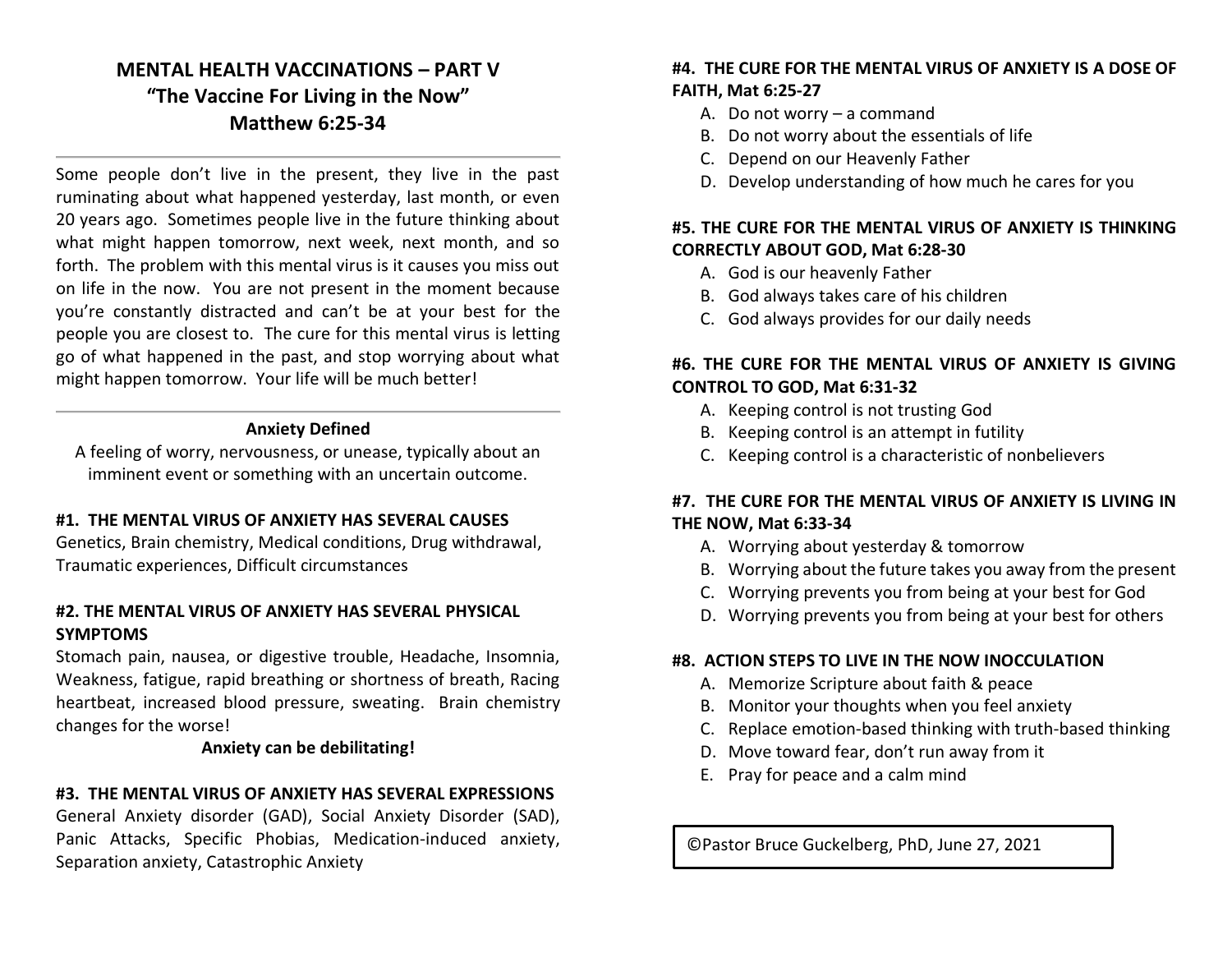# **MENTAL HEALTH VACCINATIONS – PART V "The Vaccine For Living in the Now" Matthew 6:25-34**

Some people don't live in the present, they live in the past ruminating about what happened yesterday, last month, or even 20 years ago. Sometimes people live in the future thinking about what might happen tomorrow, next week, next month, and so forth. The problem with this mental virus is it causes you miss out on life in the now. You are not present in the moment because you're constantly distracted and can't be at your best for the people you are closest to. The cure for this mental virus is letting go of what happened in the past, and stop worrying about what might happen tomorrow. Your life will be much better!

#### **Anxiety Defined**

A feeling of worry, nervousness, or unease, typically about an imminent event or something with an uncertain outcome.

#### **#1. THE MENTAL VIRUS OF ANXIETY HAS SEVERAL CAUSES**

Genetics, Brain chemistry, Medical conditions, Drug withdrawal, Traumatic experiences, Difficult circumstances

#### **#2. THE MENTAL VIRUS OF ANXIETY HAS SEVERAL PHYSICAL SYMPTOMS**

Stomach pain, nausea, or digestive trouble, Headache, Insomnia, Weakness, fatigue, rapid breathing or shortness of breath, Racing heartbeat, increased blood pressure, sweating. Brain chemistry changes for the worse!

#### **Anxiety can be debilitating!**

#### **#3. THE MENTAL VIRUS OF ANXIETY HAS SEVERAL EXPRESSIONS**

General Anxiety disorder (GAD), Social Anxiety Disorder (SAD), Panic Attacks, Specific Phobias, Medication-induced anxiety, Separation anxiety, Catastrophic Anxiety

#### **#4. THE CURE FOR THE MENTAL VIRUS OF ANXIETY IS A DOSE OF FAITH, Mat 6:25-27**

- A. Do not worry a command
- B. Do not worry about the essentials of life
- C. Depend on our Heavenly Father
- D. Develop understanding of how much he cares for you

#### **#5. THE CURE FOR THE MENTAL VIRUS OF ANXIETY IS THINKING CORRECTLY ABOUT GOD, Mat 6:28-30**

- A. God is our heavenly Father
- B. God always takes care of his children
- C. God always provides for our daily needs

## **#6. THE CURE FOR THE MENTAL VIRUS OF ANXIETY IS GIVING CONTROL TO GOD, Mat 6:31-32**

- A. Keeping control is not trusting God
- B. Keeping control is an attempt in futility
- C. Keeping control is a characteristic of nonbelievers

## **#7. THE CURE FOR THE MENTAL VIRUS OF ANXIETY IS LIVING IN THE NOW, Mat 6:33-34**

- A. Worrying about yesterday & tomorrow
- B. Worrying about the future takes you away from the present
- C. Worrying prevents you from being at your best for God
- D. Worrying prevents you from being at your best for others

#### **#8. ACTION STEPS TO LIVE IN THE NOW INOCCULATION**

- A. Memorize Scripture about faith & peace
- B. Monitor your thoughts when you feel anxiety
- C. Replace emotion-based thinking with truth-based thinking
- D. Move toward fear, don't run away from it
- E. Pray for peace and a calm mind

©Pastor Bruce Guckelberg, PhD, June 27, 2021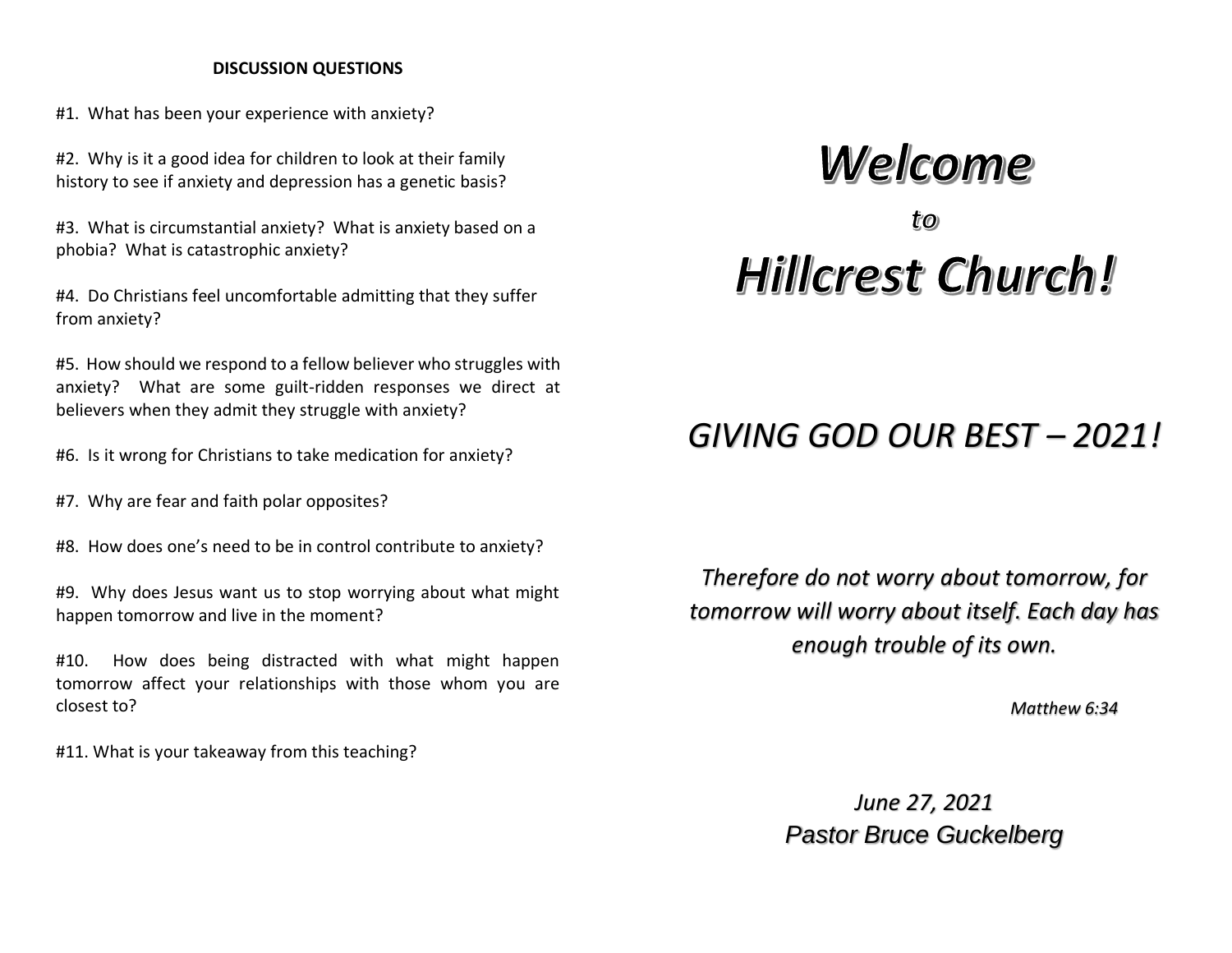#### **DISCUSSION QUESTIONS**

#1. What has been your experience with anxiety?

#2. Why is it a good idea for children to look at their family history to see if anxiety and depression has a genetic basis?

#3. What is circumstantial anxiety? What is anxiety based on a phobia? What is catastrophic anxiety?

#4. Do Christians feel uncomfortable admitting that they suffer from anxiety?

#5. How should we respond to a fellow believer who struggles with anxiety? What are some guilt-ridden responses we direct at believers when they admit they struggle with anxiety?

#6. Is it wrong for Christians to take medication for anxiety?

- #7. Why are fear and faith polar opposites?
- #8. How does one's need to be in control contribute to anxiety?

#9. Why does Jesus want us to stop worrying about what might happen tomorrow and live in the moment?

#10. How does being distracted with what might happen tomorrow affect your relationships with those whom you are closest to?

#11. What is your takeaway from this teaching?

# Welcome Hillcrest Church!

# *GIVING GOD OUR BEST – 2021!*

*Therefore do not worry about tomorrow, for tomorrow will worry about itself. Each day has enough trouble of its own.*

*Matthew 6:34*

*June 27, 2021 Pastor Bruce Guckelberg*